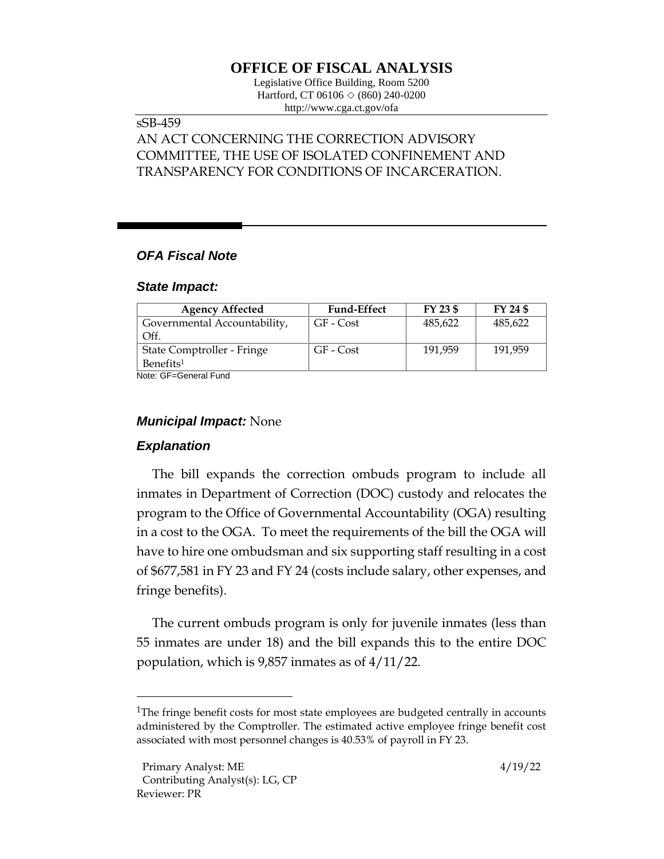# **OFFICE OF FISCAL ANALYSIS**

Legislative Office Building, Room 5200 Hartford, CT 06106  $\Diamond$  (860) 240-0200 http://www.cga.ct.gov/ofa

## sSB-459

# AN ACT CONCERNING THE CORRECTION ADVISORY COMMITTEE, THE USE OF ISOLATED CONFINEMENT AND TRANSPARENCY FOR CONDITIONS OF INCARCERATION.

### *OFA Fiscal Note*

#### *State Impact:*

| <b>Agency Affected</b>       | <b>Fund-Effect</b> | FY 23 \$ | FY 24 \$ |
|------------------------------|--------------------|----------|----------|
| Governmental Accountability, | GF - Cost          | 485,622  | 485,622  |
| Off.                         |                    |          |          |
| State Comptroller - Fringe   | GF - Cost          | 191.959  | 191.959  |
| Benefits <sup>1</sup>        |                    |          |          |

Note: GF=General Fund

#### *Municipal Impact:* None

### *Explanation*

The bill expands the correction ombuds program to include all inmates in Department of Correction (DOC) custody and relocates the program to the Office of Governmental Accountability (OGA) resulting in a cost to the OGA. To meet the requirements of the bill the OGA will have to hire one ombudsman and six supporting staff resulting in a cost of \$677,581 in FY 23 and FY 24 (costs include salary, other expenses, and fringe benefits).

The current ombuds program is only for juvenile inmates (less than 55 inmates are under 18) and the bill expands this to the entire DOC population, which is 9,857 inmates as of 4/11/22.

<sup>&</sup>lt;sup>1</sup>The fringe benefit costs for most state employees are budgeted centrally in accounts administered by the Comptroller. The estimated active employee fringe benefit cost associated with most personnel changes is 40.53% of payroll in FY 23.